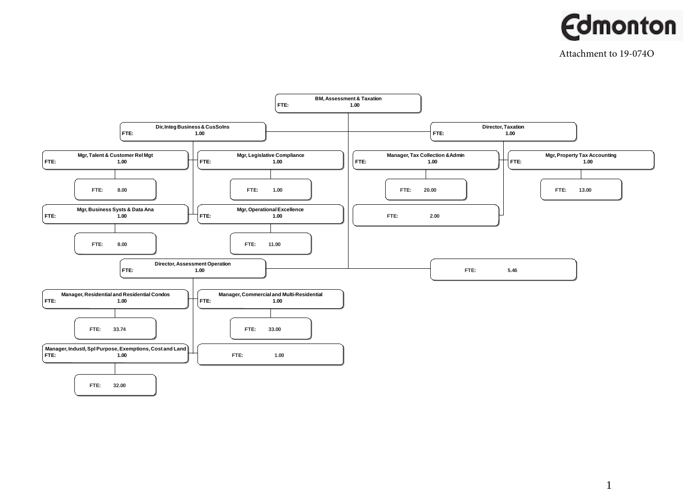

Attachment to 19-074O



1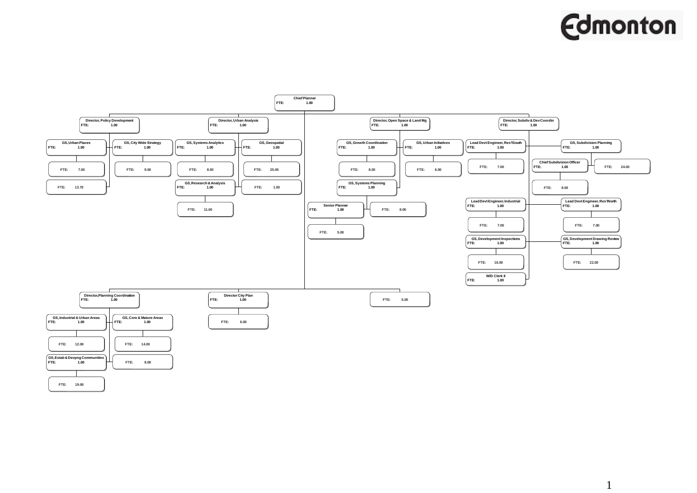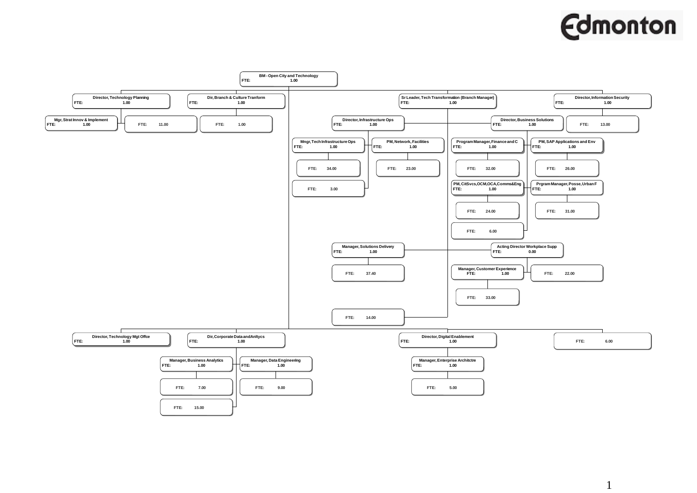

1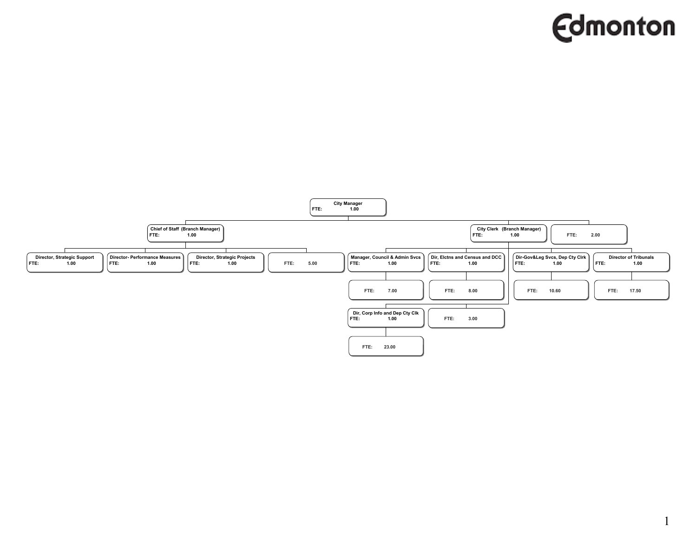